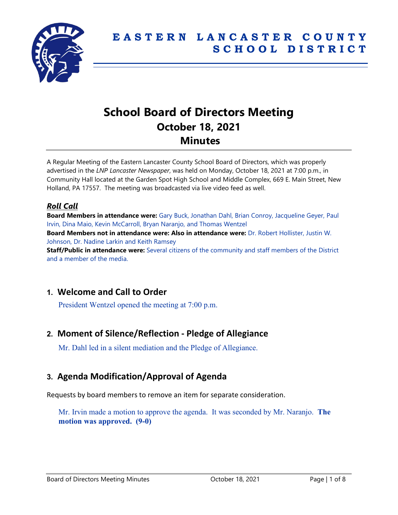

# **School Board of Directors Meeting October 18, 2021 Minutes**

A Regular Meeting of the Eastern Lancaster County School Board of Directors, which was properly advertised in the *LNP Lancaster Newspaper*, was held on Monday, October 18, 2021 at 7:00 p.m., in Community Hall located at the Garden Spot High School and Middle Complex, 669 E. Main Street, New Holland, PA 17557. The meeting was broadcasted via live video feed as well.

### *Roll Call*

**Board Members in attendance were:** Gary Buck, Jonathan Dahl, Brian Conroy, Jacqueline Geyer, Paul Irvin, Dina Maio, Kevin McCarroll, Bryan Naranjo, and Thomas Wentzel **Board Members not in attendance were: Also in attendance were:** Dr. Robert Hollister, Justin W. Johnson, Dr. Nadine Larkin and Keith Ramsey **Staff/Public in attendance were:** Several citizens of the community and staff members of the District and a member of the media.

# **1. Welcome and Call to Order**

President Wentzel opened the meeting at 7:00 p.m.

## **2. Moment of Silence/Reflection - Pledge of Allegiance**

Mr. Dahl led in a silent mediation and the Pledge of Allegiance.

# **3. Agenda Modification/Approval of Agenda**

Requests by board members to remove an item for separate consideration.

Mr. Irvin made a motion to approve the agenda. It was seconded by Mr. Naranjo. **The motion was approved. (9-0)**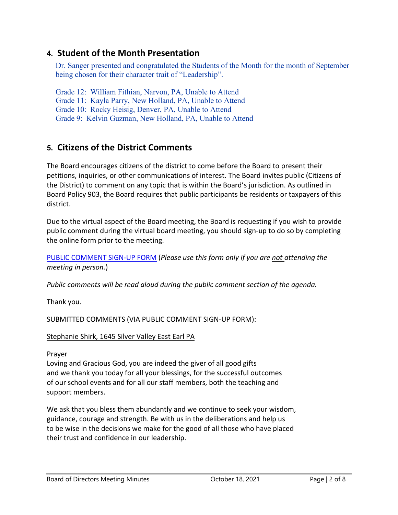# **4. Student of the Month Presentation**

Dr. Sanger presented and congratulated the Students of the Month for the month of September being chosen for their character trait of "Leadership".

Grade 12: William Fithian, Narvon, PA, Unable to Attend Grade 11: Kayla Parry, New Holland, PA, Unable to Attend Grade 10: Rocky Heisig, Denver, PA, Unable to Attend Grade 9: Kelvin Guzman, New Holland, PA, Unable to Attend

# **5. Citizens of the District Comments**

The Board encourages citizens of the district to come before the Board to present their petitions, inquiries, or other communications of interest. The Board invites public (Citizens of the District) to comment on any topic that is within the Board's jurisdiction. As outlined in Board Policy 903, the Board requires that public participants be residents or taxpayers of this district.

Due to the virtual aspect of the Board meeting, the Board is requesting if you wish to provide public comment during the virtual board meeting, you should sign-up to do so by completing the online form prior to the meeting.

[PUBLIC COMMENT SIGN-UP FORM](https://forms.gle/zDXXoX8rZQUxt1Ap6) (*Please use this form only if you are not attending the meeting in person.*)

*Public comments will be read aloud during the public comment section of the agenda.*

Thank you.

SUBMITTED COMMENTS (VIA PUBLIC COMMENT SIGN-UP FORM):

### Stephanie Shirk, 1645 Silver Valley East Earl PA

Prayer

Loving and Gracious God, you are indeed the giver of all good gifts and we thank you today for all your blessings, for the successful outcomes of our school events and for all our staff members, both the teaching and support members.

We ask that you bless them abundantly and we continue to seek your wisdom, guidance, courage and strength. Be with us in the deliberations and help us to be wise in the decisions we make for the good of all those who have placed their trust and confidence in our leadership.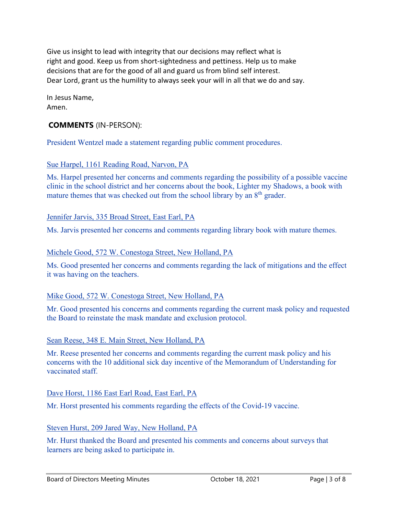Give us insight to lead with integrity that our decisions may reflect what is right and good. Keep us from short-sightedness and pettiness. Help us to make decisions that are for the good of all and guard us from blind self interest. Dear Lord, grant us the humility to always seek your will in all that we do and say.

In Jesus Name, Amen.

### **COMMENTS** (IN-PERSON):

President Wentzel made a statement regarding public comment procedures.

### Sue Harpel, 1161 Reading Road, Narvon, PA

Ms. Harpel presented her concerns and comments regarding the possibility of a possible vaccine clinic in the school district and her concerns about the book, Lighter my Shadows, a book with mature themes that was checked out from the school library by an  $8<sup>th</sup>$  grader.

### Jennifer Jarvis, 335 Broad Street, East Earl, PA

Ms. Jarvis presented her concerns and comments regarding library book with mature themes.

### Michele Good, 572 W. Conestoga Street, New Holland, PA

Ms. Good presented her concerns and comments regarding the lack of mitigations and the effect it was having on the teachers.

### Mike Good, 572 W. Conestoga Street, New Holland, PA

Mr. Good presented his concerns and comments regarding the current mask policy and requested the Board to reinstate the mask mandate and exclusion protocol.

### Sean Reese, 348 E. Main Street, New Holland, PA

Mr. Reese presented her concerns and comments regarding the current mask policy and his concerns with the 10 additional sick day incentive of the Memorandum of Understanding for vaccinated staff.

### Dave Horst, 1186 East Earl Road, East Earl, PA

Mr. Horst presented his comments regarding the effects of the Covid-19 vaccine.

### Steven Hurst, 209 Jared Way, New Holland, PA

Mr. Hurst thanked the Board and presented his comments and concerns about surveys that learners are being asked to participate in.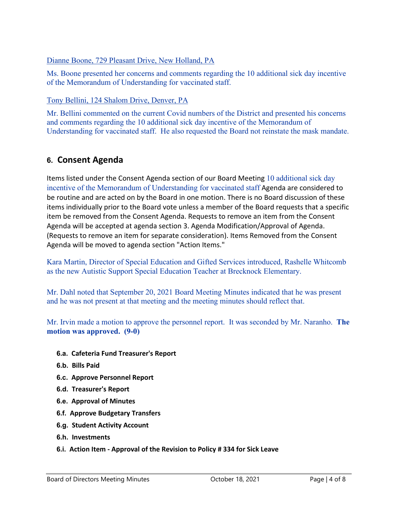### Dianne Boone, 729 Pleasant Drive, New Holland, PA

Ms. Boone presented her concerns and comments regarding the 10 additional sick day incentive of the Memorandum of Understanding for vaccinated staff.

### Tony Bellini, 124 Shalom Drive, Denver, PA

Mr. Bellini commented on the current Covid numbers of the District and presented his concerns and comments regarding the 10 additional sick day incentive of the Memorandum of Understanding for vaccinated staff. He also requested the Board not reinstate the mask mandate.

# **6. Consent Agenda**

Items listed under the Consent Agenda section of our Board Meeting 10 additional sick day incentive of the Memorandum of Understanding for vaccinated staff Agenda are considered to be routine and are acted on by the Board in one motion. There is no Board discussion of these items individually prior to the Board vote unless a member of the Board requests that a specific item be removed from the Consent Agenda. Requests to remove an item from the Consent Agenda will be accepted at agenda section 3. Agenda Modification/Approval of Agenda. (Requests to remove an item for separate consideration). Items Removed from the Consent Agenda will be moved to agenda section "Action Items."

Kara Martin, Director of Special Education and Gifted Services introduced, Rashelle Whitcomb as the new Autistic Support Special Education Teacher at Brecknock Elementary.

Mr. Dahl noted that September 20, 2021 Board Meeting Minutes indicated that he was present and he was not present at that meeting and the meeting minutes should reflect that.

Mr. Irvin made a motion to approve the personnel report. It was seconded by Mr. Naranho. **The motion was approved. (9-0)**

- **6.a. Cafeteria Fund Treasurer's Report**
- **6.b. Bills Paid**
- **6.c. Approve Personnel Report**
- **6.d. Treasurer's Report**
- **6.e. Approval of Minutes**
- **6.f. Approve Budgetary Transfers**
- **6.g. Student Activity Account**
- **6.h. Investments**
- **6.i. Action Item - Approval of the Revision to Policy # 334 for Sick Leave**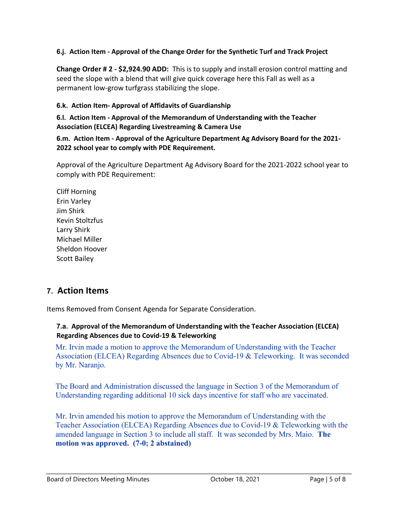### **6.j. Action Item - Approval of the Change Order for the Synthetic Turf and Track Project**

**Change Order # 2 - \$2,924.90 ADD:** This is to supply and install erosion control matting and seed the slope with a blend that will give quick coverage here this Fall as well as a permanent low-grow turfgrass stabilizing the slope.

### **6.k. Action Item- Approval of Affidavits of Guardianship**

**6.l. Action Item - Approval of the Memorandum of Understanding with the Teacher Association (ELCEA) Regarding Livestreaming & Camera Use**

**6.m. Action Item - Approval of the Agriculture Department Ag Advisory Board for the 2021- 2022 school year to comply with PDE Requirement.**

Approval of the Agriculture Department Ag Advisory Board for the 2021-2022 school year to comply with PDE Requirement:

Cliff Horning Erin Varley Jim Shirk Kevin Stoltzfus Larry Shirk Michael Miller Sheldon Hoover Scott Bailey

# **7. Action Items**

Items Removed from Consent Agenda for Separate Consideration.

### **7.a. Approval of the Memorandum of Understanding with the Teacher Association (ELCEA) Regarding Absences due to Covid-19 & Teleworking**

Mr. Irvin made a motion to approve the Memorandum of Understanding with the Teacher Association (ELCEA) Regarding Absences due to Covid-19 & Teleworking. It was seconded by Mr. Naranjo.

The Board and Administration discussed the language in Section 3 of the Memorandum of Understanding regarding additional 10 sick days incentive for staff who are vaccinated.

Mr. Irvin amended his motion to approve the Memorandum of Understanding with the Teacher Association (ELCEA) Regarding Absences due to Covid-19 & Teleworking with the amended language in Section 3 to include all staff. It was seconded by Mrs. Maio. **The motion was approved. (7-0; 2 abstained)**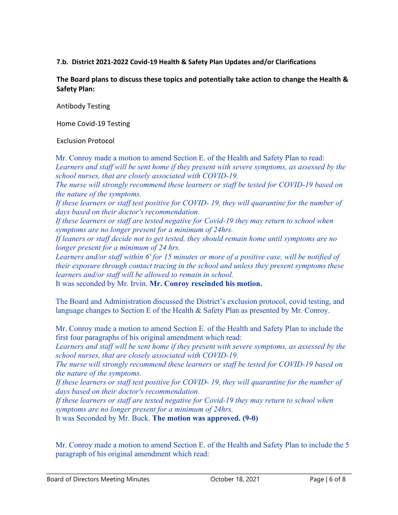#### **7.b. District 2021-2022 Covid-19 Health & Safety Plan Updates and/or Clarifications**

**The Board plans to discuss these topics and potentially take action to change the Health & Safety Plan:**

Antibody Testing

Home Covid-19 Testing

#### Exclusion Protocol

Mr. Conroy made a motion to amend Section E. of the Health and Safety Plan to read: *Learners and staff will be sent home if they present with severe symptoms, as assessed by the school nurses, that are closely associated with COVID-19. The nurse will strongly recommend these learners or staff be tested for COVID-19 based on the nature of the symptoms. If these learners or staff test positive for COVID- 19, they will quarantine for the number of days based on their doctor's recommendation. If these learners or staff are tested negative for Covid-19 they may return to school when symptoms are no longer present for a minimum of 24hrs. If leaners or staff decide not to get tested, they should remain home until symptoms are no longer present for a minimum of 24 hrs. Learners and/or staff within 6' for 15 minutes or more of a positive case, will be notified of their exposure through contact tracing in the school and unless they present symptoms these learners and/or staff will be allowed to remain in school.* It was seconded by Mr. Irvin. **Mr. Conroy rescinded his motion.**

The Board and Administration discussed the District's exclusion protocol, covid testing, and

language changes to Section E of the Health & Safety Plan as presented by Mr. Conroy.

Mr. Conroy made a motion to amend Section E. of the Health and Safety Plan to include the first four paragraphs of his original amendment which read:

*Learners and staff will be sent home if they present with severe symptoms, as assessed by the school nurses, that are closely associated with COVID-19.* 

*The nurse will strongly recommend these learners or staff be tested for COVID-19 based on the nature of the symptoms.* 

*If these learners or staff test positive for COVID- 19, they will quarantine for the number of days based on their doctor's recommendation.* 

*If these learners or staff are tested negative for Covid-19 they may return to school when symptoms are no longer present for a minimum of 24hrs.*

It was Seconded by Mr. Buck. **The motion was approved. (9-0)**

Mr. Conroy made a motion to amend Section E. of the Health and Safety Plan to include the 5 paragraph of his original amendment which read: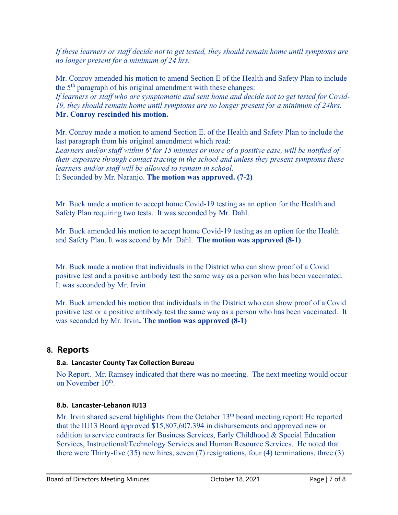*If these learners or staff decide not to get tested, they should remain home until symptoms are no longer present for a minimum of 24 hrs.*

Mr. Conroy amended his motion to amend Section E of the Health and Safety Plan to include the 5th paragraph of his original amendment with these changes:

*If learners or staff who are symptomatic and sent home and decide not to get tested for Covid-19, they should remain home until symptoms are no longer present for a minimum of 24hrs.* **Mr. Conroy rescinded his motion.**

Mr. Conroy made a motion to amend Section E. of the Health and Safety Plan to include the last paragraph from his original amendment which read: *Learners and/or staff within 6' for 15 minutes or more of a positive case, will be notified of* 

*their exposure through contact tracing in the school and unless they present symptoms these learners and/or staff will be allowed to remain in school.*

It Seconded by Mr. Naranjo. **The motion was approved. (7-2)**

Mr. Buck made a motion to accept home Covid-19 testing as an option for the Health and Safety Plan requiring two tests. It was seconded by Mr. Dahl.

Mr. Buck amended his motion to accept home Covid-19 testing as an option for the Health and Safety Plan. It was second by Mr. Dahl. **The motion was approved (8-1)**

Mr. Buck made a motion that individuals in the District who can show proof of a Covid positive test and a positive antibody test the same way as a person who has been vaccinated. It was seconded by Mr. Irvin

Mr. Buck amended his motion that individuals in the District who can show proof of a Covid positive test or a positive antibody test the same way as a person who has been vaccinated. It was seconded by Mr. Irvin**. The motion was approved (8-1)**

## **8. Reports**

### **8.a. Lancaster County Tax Collection Bureau**

No Report. Mr. Ramsey indicated that there was no meeting. The next meeting would occur on November 10<sup>th</sup>.

### **8.b. Lancaster-Lebanon IU13**

Mr. Irvin shared several highlights from the October 13<sup>th</sup> board meeting report: He reported that the IU13 Board approved \$15,807,607.394 in disbursements and approved new or addition to service contracts for Business Services, Early Childhood & Special Education Services, Instructional/Technology Services and Human Resource Services. He noted that there were Thirty-five (35) new hires, seven (7) resignations, four (4) terminations, three (3)